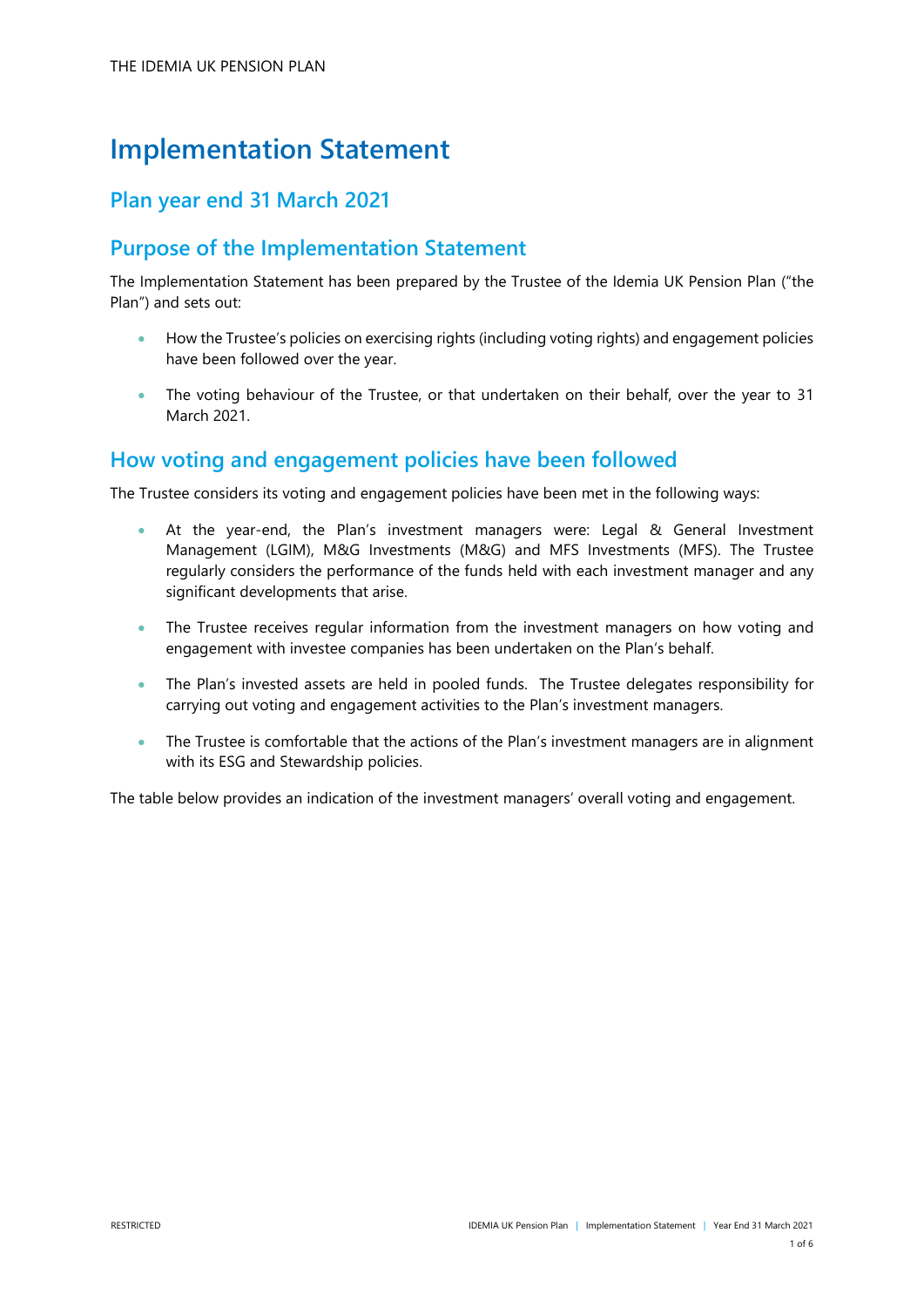# **Implementation Statement**

# **Plan year end 31 March 2021**

# **Purpose of the Implementation Statement**

The Implementation Statement has been prepared by the Trustee of the Idemia UK Pension Plan ("the Plan") and sets out:

- How the Trustee's policies on exercising rights (including voting rights) and engagement policies have been followed over the year.
- The voting behaviour of the Trustee, or that undertaken on their behalf, over the year to 31 March 2021.

## **How voting and engagement policies have been followed**

The Trustee considers its voting and engagement policies have been met in the following ways:

- At the year-end, the Plan's investment managers were: Legal & General Investment Management (LGIM), M&G Investments (M&G) and MFS Investments (MFS). The Trustee regularly considers the performance of the funds held with each investment manager and any significant developments that arise.
- The Trustee receives regular information from the investment managers on how voting and engagement with investee companies has been undertaken on the Plan's behalf.
- The Plan's invested assets are held in pooled funds. The Trustee delegates responsibility for carrying out voting and engagement activities to the Plan's investment managers.
- The Trustee is comfortable that the actions of the Plan's investment managers are in alignment with its ESG and Stewardship policies.

The table below provides an indication of the investment managers' overall voting and engagement.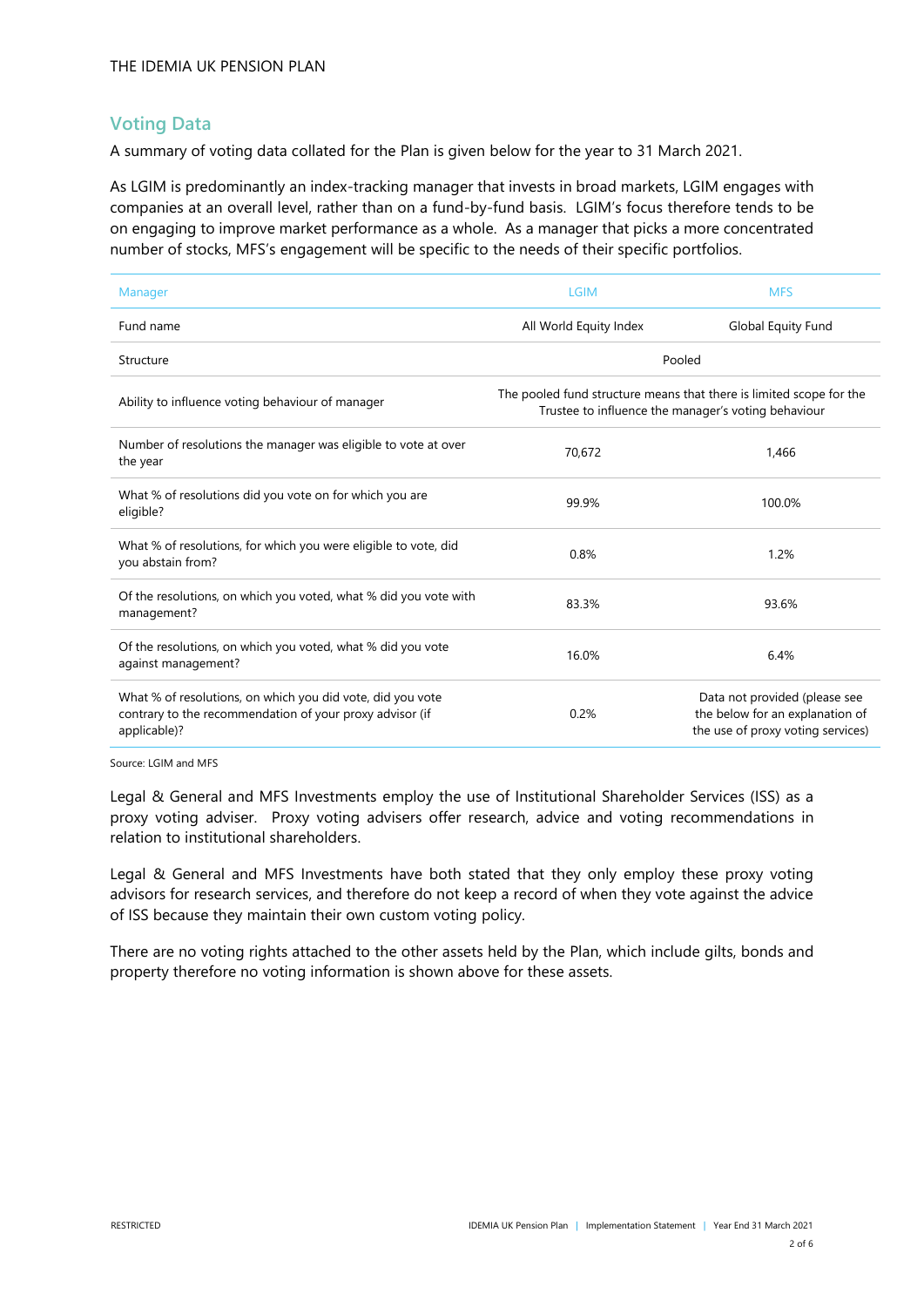### **Voting Data**

A summary of voting data collated for the Plan is given below for the year to 31 March 2021.

As LGIM is predominantly an index-tracking manager that invests in broad markets, LGIM engages with companies at an overall level, rather than on a fund-by-fund basis. LGIM's focus therefore tends to be on engaging to improve market performance as a whole. As a manager that picks a more concentrated number of stocks, MFS's engagement will be specific to the needs of their specific portfolios.

| Manager                                                                                                                                | <b>LGIM</b>                                                                                                                | <b>MFS</b>                                                                                            |  |
|----------------------------------------------------------------------------------------------------------------------------------------|----------------------------------------------------------------------------------------------------------------------------|-------------------------------------------------------------------------------------------------------|--|
| Fund name                                                                                                                              | All World Equity Index                                                                                                     | Global Equity Fund                                                                                    |  |
| Structure                                                                                                                              | Pooled                                                                                                                     |                                                                                                       |  |
| Ability to influence voting behaviour of manager                                                                                       | The pooled fund structure means that there is limited scope for the<br>Trustee to influence the manager's voting behaviour |                                                                                                       |  |
| Number of resolutions the manager was eligible to vote at over<br>the year                                                             | 70,672                                                                                                                     | 1,466                                                                                                 |  |
| What % of resolutions did you vote on for which you are<br>eligible?                                                                   | 99.9%                                                                                                                      | 100.0%                                                                                                |  |
| What % of resolutions, for which you were eligible to vote, did<br>you abstain from?                                                   | 0.8%                                                                                                                       | 1.2%                                                                                                  |  |
| Of the resolutions, on which you voted, what % did you vote with<br>management?                                                        | 83.3%                                                                                                                      | 93.6%                                                                                                 |  |
| Of the resolutions, on which you voted, what % did you vote<br>against management?                                                     | 16.0%                                                                                                                      | 6.4%                                                                                                  |  |
| What % of resolutions, on which you did vote, did you vote<br>contrary to the recommendation of your proxy advisor (if<br>applicable)? | 0.2%                                                                                                                       | Data not provided (please see<br>the below for an explanation of<br>the use of proxy voting services) |  |

Source: LGIM and MFS

Legal & General and MFS Investments employ the use of Institutional Shareholder Services (ISS) as a proxy voting adviser. Proxy voting advisers offer research, advice and voting recommendations in relation to institutional shareholders.

Legal & General and MFS Investments have both stated that they only employ these proxy voting advisors for research services, and therefore do not keep a record of when they vote against the advice of ISS because they maintain their own custom voting policy.

There are no voting rights attached to the other assets held by the Plan, which include gilts, bonds and property therefore no voting information is shown above for these assets.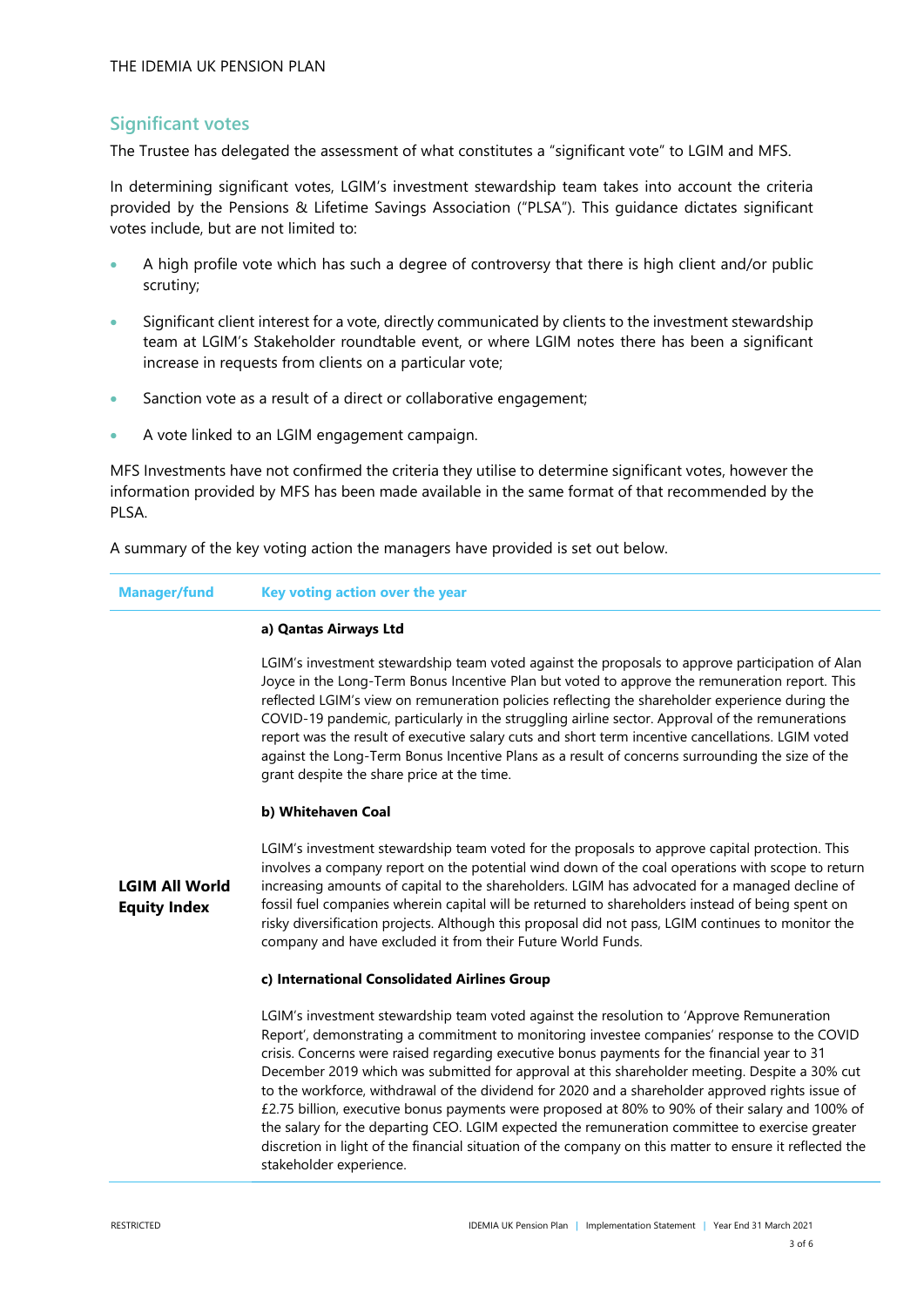### **Significant votes**

The Trustee has delegated the assessment of what constitutes a "significant vote" to LGIM and MFS.

In determining significant votes, LGIM's investment stewardship team takes into account the criteria provided by the Pensions & Lifetime Savings Association ("PLSA"). This guidance dictates significant votes include, but are not limited to:

- A high profile vote which has such a degree of controversy that there is high client and/or public scrutiny;
- Significant client interest for a vote, directly communicated by clients to the investment stewardship team at LGIM's Stakeholder roundtable event, or where LGIM notes there has been a significant increase in requests from clients on a particular vote;
- Sanction vote as a result of a direct or collaborative engagement;
- A vote linked to an LGIM engagement campaign.

MFS Investments have not confirmed the criteria they utilise to determine significant votes, however the information provided by MFS has been made available in the same format of that recommended by the PLSA.

A summary of the key voting action the managers have provided is set out below.

| Manager/fund Key voting action over the year |
|----------------------------------------------|
|----------------------------------------------|

#### **a) Qantas Airways Ltd**

LGIM's investment stewardship team voted against the proposals to approve participation of Alan Joyce in the Long-Term Bonus Incentive Plan but voted to approve the remuneration report. This reflected LGIM's view on remuneration policies reflecting the shareholder experience during the COVID-19 pandemic, particularly in the struggling airline sector. Approval of the remunerations report was the result of executive salary cuts and short term incentive cancellations. LGIM voted against the Long-Term Bonus Incentive Plans as a result of concerns surrounding the size of the grant despite the share price at the time.

#### **b) Whitehaven Coal**

**LGIM All World Equity Index** LGIM's investment stewardship team voted for the proposals to approve capital protection. This involves a company report on the potential wind down of the coal operations with scope to return increasing amounts of capital to the shareholders. LGIM has advocated for a managed decline of fossil fuel companies wherein capital will be returned to shareholders instead of being spent on risky diversification projects. Although this proposal did not pass, LGIM continues to monitor the company and have excluded it from their Future World Funds.

#### **c) International Consolidated Airlines Group**

LGIM's investment stewardship team voted against the resolution to 'Approve Remuneration Report', demonstrating a commitment to monitoring investee companies' response to the COVID crisis. Concerns were raised regarding executive bonus payments for the financial year to 31 December 2019 which was submitted for approval at this shareholder meeting. Despite a 30% cut to the workforce, withdrawal of the dividend for 2020 and a shareholder approved rights issue of £2.75 billion, executive bonus payments were proposed at 80% to 90% of their salary and 100% of the salary for the departing CEO. LGIM expected the remuneration committee to exercise greater discretion in light of the financial situation of the company on this matter to ensure it reflected the stakeholder experience.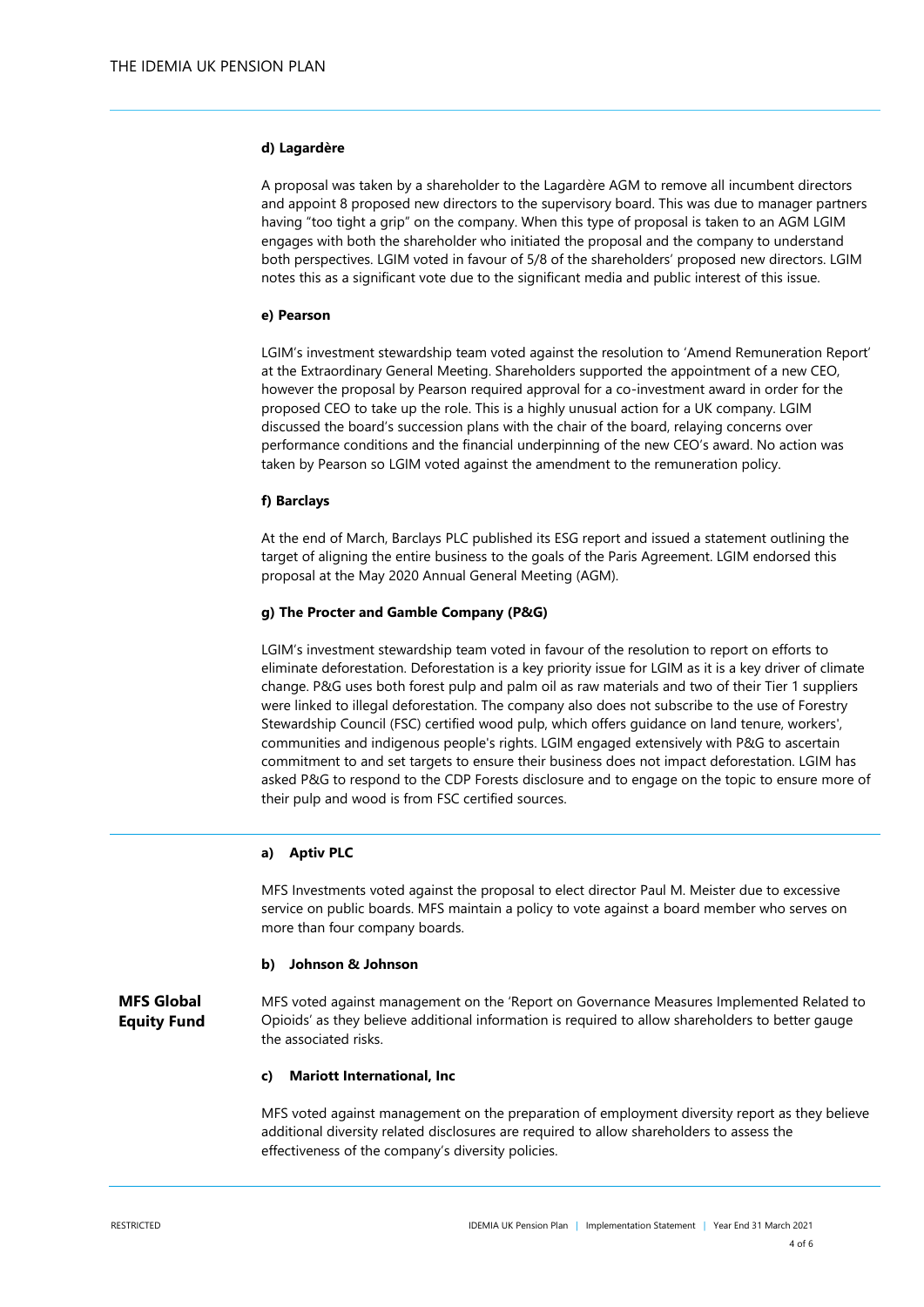#### **d) Lagardère**

A proposal was taken by a shareholder to the Lagardère AGM to remove all incumbent directors and appoint 8 proposed new directors to the supervisory board. This was due to manager partners having "too tight a grip" on the company. When this type of proposal is taken to an AGM LGIM engages with both the shareholder who initiated the proposal and the company to understand both perspectives. LGIM voted in favour of 5/8 of the shareholders' proposed new directors. LGIM notes this as a significant vote due to the significant media and public interest of this issue.

#### **e) Pearson**

LGIM's investment stewardship team voted against the resolution to 'Amend Remuneration Report' at the Extraordinary General Meeting. Shareholders supported the appointment of a new CEO, however the proposal by Pearson required approval for a co-investment award in order for the proposed CEO to take up the role. This is a highly unusual action for a UK company. LGIM discussed the board's succession plans with the chair of the board, relaying concerns over performance conditions and the financial underpinning of the new CEO's award. No action was taken by Pearson so LGIM voted against the amendment to the remuneration policy.

#### **f) Barclays**

At the end of March, Barclays PLC published its ESG report and issued a statement outlining the target of aligning the entire business to the goals of the Paris Agreement. LGIM endorsed this proposal at the May 2020 Annual General Meeting (AGM).

#### **g) The Procter and Gamble Company (P&G)**

LGIM's investment stewardship team voted in favour of the resolution to report on efforts to eliminate deforestation. Deforestation is a key priority issue for LGIM as it is a key driver of climate change. P&G uses both forest pulp and palm oil as raw materials and two of their Tier 1 suppliers were linked to illegal deforestation. The company also does not subscribe to the use of Forestry Stewardship Council (FSC) certified wood pulp, which offers guidance on land tenure, workers', communities and indigenous people's rights. LGIM engaged extensively with P&G to ascertain commitment to and set targets to ensure their business does not impact deforestation. LGIM has asked P&G to respond to the CDP Forests disclosure and to engage on the topic to ensure more of their pulp and wood is from FSC certified sources.

#### **a) Aptiv PLC**

MFS Investments voted against the proposal to elect director Paul M. Meister due to excessive service on public boards. MFS maintain a policy to vote against a board member who serves on more than four company boards.

#### **b) Johnson & Johnson**

**MFS Global Equity Fund** MFS voted against management on the 'Report on Governance Measures Implemented Related to Opioids' as they believe additional information is required to allow shareholders to better gauge the associated risks.

#### **c) Mariott International, Inc**

MFS voted against management on the preparation of employment diversity report as they believe additional diversity related disclosures are required to allow shareholders to assess the effectiveness of the company's diversity policies.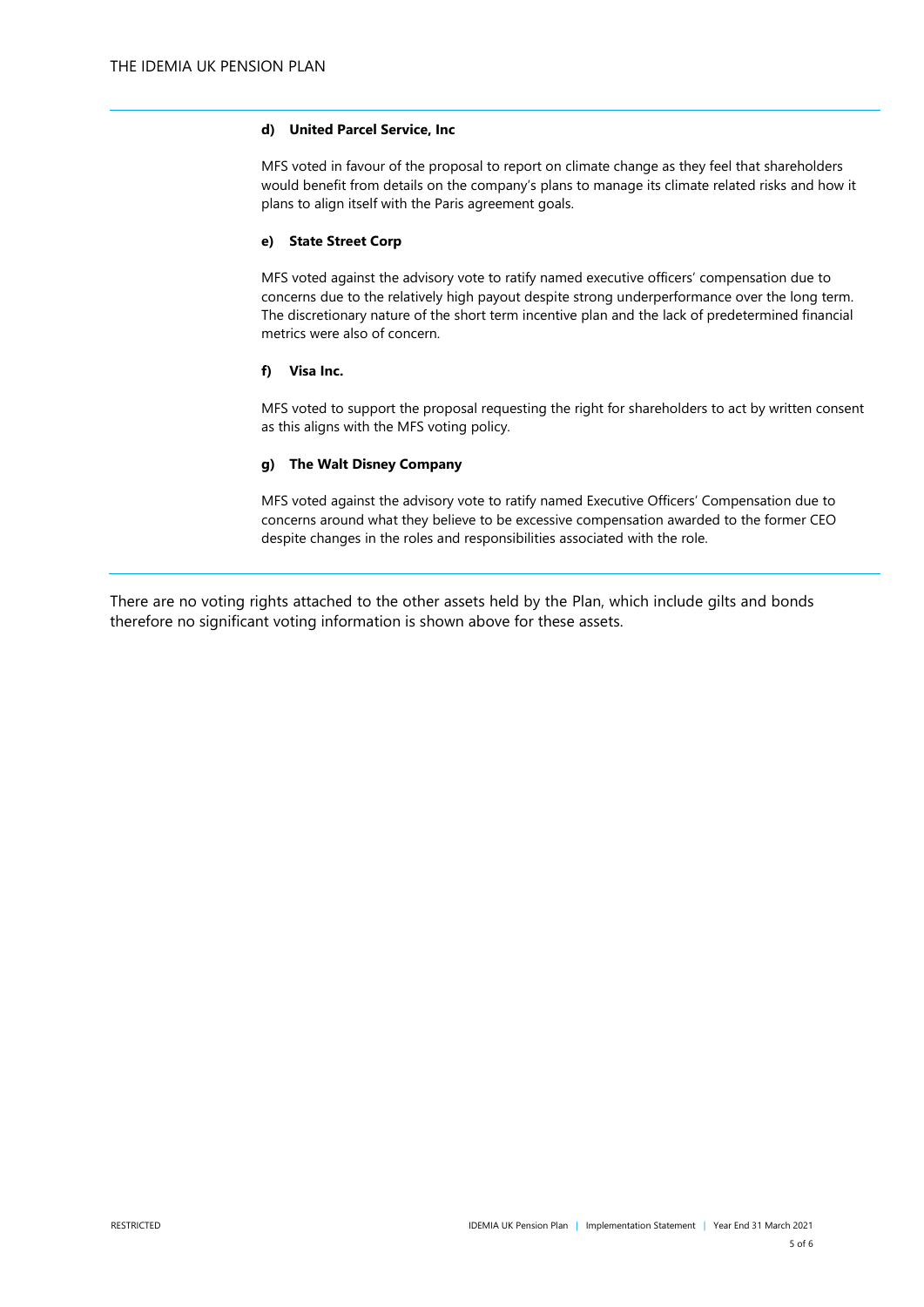#### **d) United Parcel Service, Inc**

MFS voted in favour of the proposal to report on climate change as they feel that shareholders would benefit from details on the company's plans to manage its climate related risks and how it plans to align itself with the Paris agreement goals.

#### **e) State Street Corp**

MFS voted against the advisory vote to ratify named executive officers' compensation due to concerns due to the relatively high payout despite strong underperformance over the long term. The discretionary nature of the short term incentive plan and the lack of predetermined financial metrics were also of concern.

#### **f) Visa Inc.**

MFS voted to support the proposal requesting the right for shareholders to act by written consent as this aligns with the MFS voting policy.

#### **g) The Walt Disney Company**

MFS voted against the advisory vote to ratify named Executive Officers' Compensation due to concerns around what they believe to be excessive compensation awarded to the former CEO despite changes in the roles and responsibilities associated with the role.

There are no voting rights attached to the other assets held by the Plan, which include gilts and bonds therefore no significant voting information is shown above for these assets.